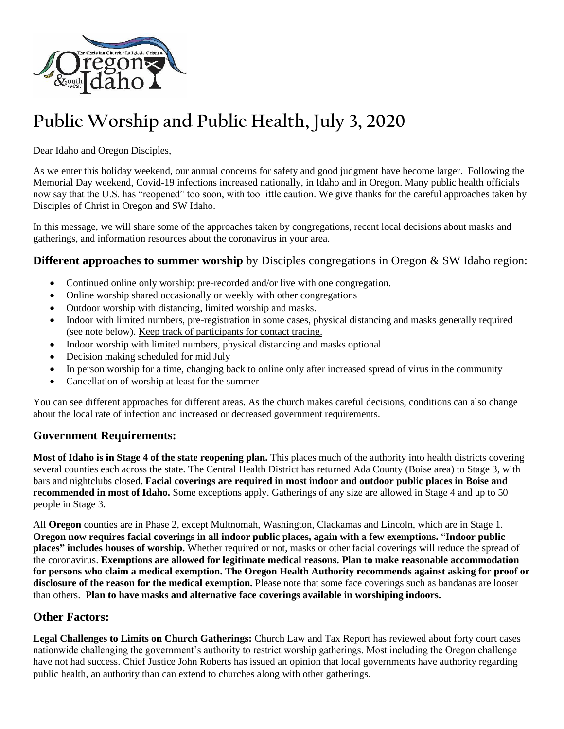

# **Public Worship and Public Health, July 3, 2020**

Dear Idaho and Oregon Disciples,

As we enter this holiday weekend, our annual concerns for safety and good judgment have become larger. Following the Memorial Day weekend, Covid-19 infections increased nationally, in Idaho and in Oregon. Many public health officials now say that the U.S. has "reopened" too soon, with too little caution. We give thanks for the careful approaches taken by Disciples of Christ in Oregon and SW Idaho.

In this message, we will share some of the approaches taken by congregations, recent local decisions about masks and gatherings, and information resources about the coronavirus in your area.

#### **Different approaches to summer worship** by Disciples congregations in Oregon & SW Idaho region:

- Continued online only worship: pre-recorded and/or live with one congregation.
- Online worship shared occasionally or weekly with other congregations
- Outdoor worship with distancing, limited worship and masks.
- Indoor with limited numbers, pre-registration in some cases, physical distancing and masks generally required (see note below). Keep track of participants for contact tracing.
- Indoor worship with limited numbers, physical distancing and masks optional
- Decision making scheduled for mid July
- In person worship for a time, changing back to online only after increased spread of virus in the community
- Cancellation of worship at least for the summer

You can see different approaches for different areas. As the church makes careful decisions, conditions can also change about the local rate of infection and increased or decreased government requirements.

#### **Government Requirements:**

**Most of Idaho is in Stage 4 of the state reopening plan.** This places much of the authority into health districts covering several counties each across the state. The Central Health District has returned Ada County (Boise area) to Stage 3, with bars and nightclubs closed**. Facial coverings are required in most indoor and outdoor public places in Boise and recommended in most of Idaho.** Some exceptions apply. Gatherings of any size are allowed in Stage 4 and up to 50 people in Stage 3.

All **Oregon** counties are in Phase 2, except Multnomah, Washington, Clackamas and Lincoln, which are in Stage 1. **Oregon now requires facial coverings in all indoor public places, again with a few exemptions.** "**Indoor public places" includes houses of worship.** Whether required or not, masks or other facial coverings will reduce the spread of the coronavirus. **Exemptions are allowed for legitimate medical reasons. Plan to make reasonable accommodation for persons who claim a medical exemption. The Oregon Health Authority recommends against asking for proof or disclosure of the reason for the medical exemption.** Please note that some face coverings such as bandanas are looser than others. **Plan to have masks and alternative face coverings available in worshiping indoors.**

# **Other Factors:**

**Legal Challenges to Limits on Church Gatherings:** Church Law and Tax Report has reviewed about forty court cases nationwide challenging the government's authority to restrict worship gatherings. Most including the Oregon challenge have not had success. Chief Justice John Roberts has issued an opinion that local governments have authority regarding public health, an authority than can extend to churches along with other gatherings.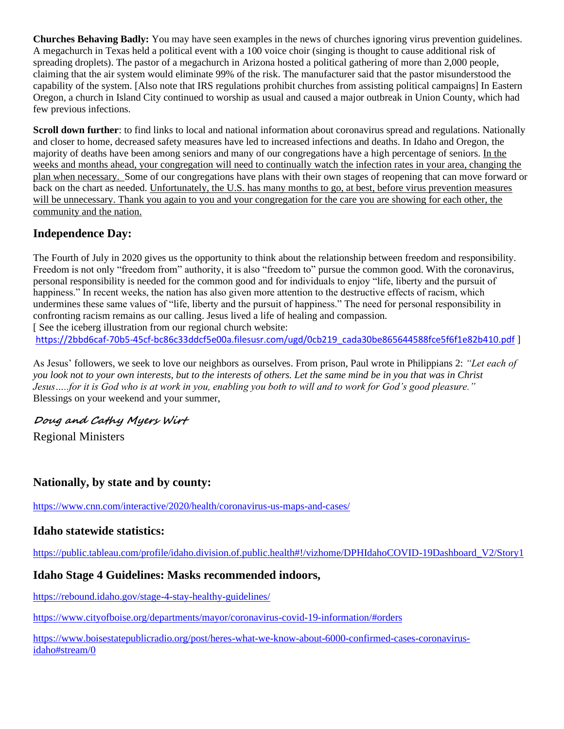**Churches Behaving Badly:** You may have seen examples in the news of churches ignoring virus prevention guidelines. A megachurch in Texas held a political event with a 100 voice choir (singing is thought to cause additional risk of spreading droplets). The pastor of a megachurch in Arizona hosted a political gathering of more than 2,000 people, claiming that the air system would eliminate 99% of the risk. The manufacturer said that the pastor misunderstood the capability of the system. [Also note that IRS regulations prohibit churches from assisting political campaigns] In Eastern Oregon, a church in Island City continued to worship as usual and caused a major outbreak in Union County, which had few previous infections.

**Scroll down further**: to find links to local and national information about coronavirus spread and regulations. Nationally and closer to home, decreased safety measures have led to increased infections and deaths. In Idaho and Oregon, the majority of deaths have been among seniors and many of our congregations have a high percentage of seniors. In the weeks and months ahead, your congregation will need to continually watch the infection rates in your area, changing the plan when necessary. Some of our congregations have plans with their own stages of reopening that can move forward or back on the chart as needed. Unfortunately, the U.S. has many months to go, at best, before virus prevention measures will be unnecessary. Thank you again to you and your congregation for the care you are showing for each other, the community and the nation.

# **Independence Day:**

The Fourth of July in 2020 gives us the opportunity to think about the relationship between freedom and responsibility. Freedom is not only "freedom from" authority, it is also "freedom to" pursue the common good. With the coronavirus, personal responsibility is needed for the common good and for individuals to enjoy "life, liberty and the pursuit of happiness." In recent weeks, the nation has also given more attention to the destructive effects of racism, which undermines these same values of "life, liberty and the pursuit of happiness." The need for personal responsibility in confronting racism remains as our calling. Jesus lived a life of healing and compassion. [See the iceberg illustration from our regional church website:

[https://2bbd6caf-70b5-45cf-bc86c33ddcf5e00a.filesusr.com/ugd/0cb219\\_cada30be865644588fce5f6f1e82b410.pdf](https://2bbd6caf-70b5-45cf-bc86c33ddcf5e00a.filesusr.com/ugd/0cb219_cada30be865644588fce5f6f1e82b410.pdf) ]

As Jesus' followers, we seek to love our neighbors as ourselves. From prison, Paul wrote in Philippians 2: *"Let each of you look not to your own interests, but to the interests of others. Let the same mind be in you that was in Christ Jesus…..for it is God who is at work in you, enabling you both to will and to work for God's good pleasure."* Blessings on your weekend and your summer,

# **Doug and Cathy Myers Wirt**

Regional Ministers

# **Nationally, by state and by county:**

<https://www.cnn.com/interactive/2020/health/coronavirus-us-maps-and-cases/>

# **Idaho statewide statistics:**

[https://public.tableau.com/profile/idaho.division.of.public.health#!/vizhome/DPHIdahoCOVID-19Dashboard\\_V2/Story1](https://public.tableau.com/profile/idaho.division.of.public.health#!/vizhome/DPHIdahoCOVID-19Dashboard_V2/Story1)

# **Idaho Stage 4 Guidelines: Masks recommended indoors,**

<https://rebound.idaho.gov/stage-4-stay-healthy-guidelines/>

<https://www.cityofboise.org/departments/mayor/coronavirus-covid-19-information/#orders>

[https://www.boisestatepublicradio.org/post/heres-what-we-know-about-6000-confirmed-cases-coronavirus](https://www.boisestatepublicradio.org/post/heres-what-we-know-about-6000-confirmed-cases-coronavirus-idaho#stream/0)[idaho#stream/0](https://www.boisestatepublicradio.org/post/heres-what-we-know-about-6000-confirmed-cases-coronavirus-idaho#stream/0)